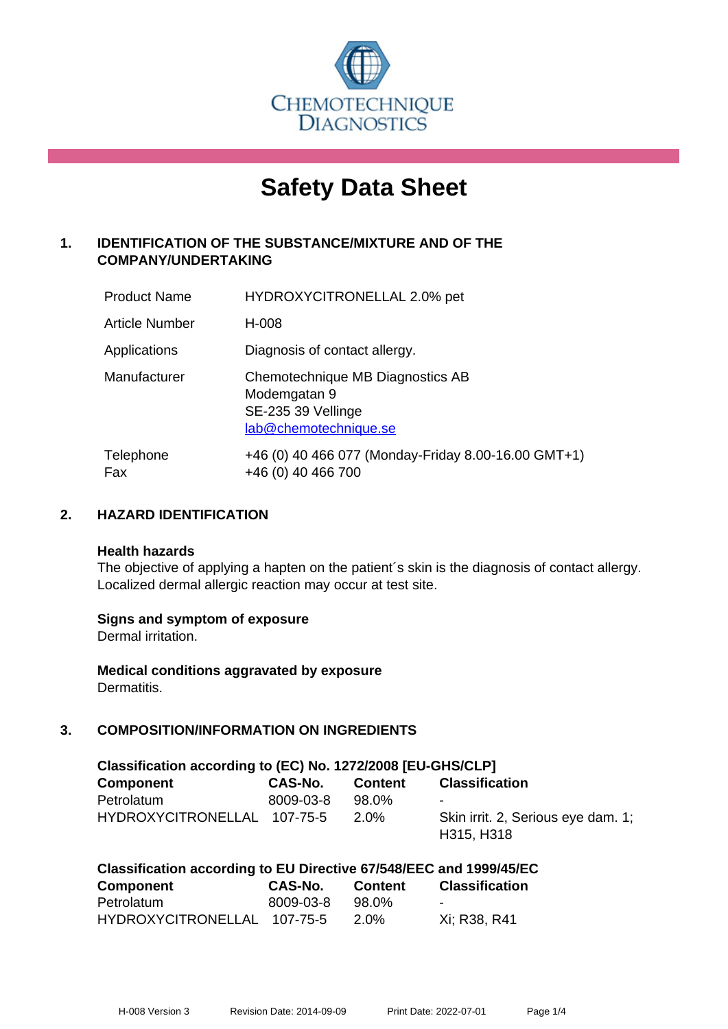

# **Safety Data Sheet**

# **1. IDENTIFICATION OF THE SUBSTANCE/MIXTURE AND OF THE COMPANY/UNDERTAKING**

| <b>Product Name</b>   | HYDROXYCITRONELLAL 2.0% pet                                                                     |
|-----------------------|-------------------------------------------------------------------------------------------------|
| <b>Article Number</b> | H-008                                                                                           |
| Applications          | Diagnosis of contact allergy.                                                                   |
| Manufacturer          | Chemotechnique MB Diagnostics AB<br>Modemgatan 9<br>SE-235 39 Vellinge<br>lab@chemotechnique.se |
| Telephone<br>Fax      | +46 (0) 40 466 077 (Monday-Friday 8.00-16.00 GMT+1)<br>+46 (0) 40 466 700                       |

## **2. HAZARD IDENTIFICATION**

#### **Health hazards**

The objective of applying a hapten on the patient's skin is the diagnosis of contact allergy. Localized dermal allergic reaction may occur at test site.

## **Signs and symptom of exposure**

Dermal irritation.

**Medical conditions aggravated by exposure** Dermatitis.

# **3. COMPOSITION/INFORMATION ON INGREDIENTS**

| Classification according to (EC) No. 1272/2008 [EU-GHS/CLP] |           |                |                                                  |  |
|-------------------------------------------------------------|-----------|----------------|--------------------------------------------------|--|
| <b>Component</b>                                            | CAS-No.   | <b>Content</b> | <b>Classification</b>                            |  |
| Petrolatum                                                  | 8009-03-8 | 98.0%          | $\overline{\phantom{0}}$                         |  |
| HYDROXYCITRONELLAL 107-75-5                                 |           | 2.0%           | Skin irrit. 2, Serious eye dam. 1;<br>H315, H318 |  |

| <b>Component</b>            | CAS-No.   | <b>Content</b> | <b>Classification</b> |
|-----------------------------|-----------|----------------|-----------------------|
| Petrolatum                  | 8009-03-8 | 98.0%          | $\sim$                |
| HYDROXYCITRONELLAL 107-75-5 |           | 2.0%           | Xi: R38, R41          |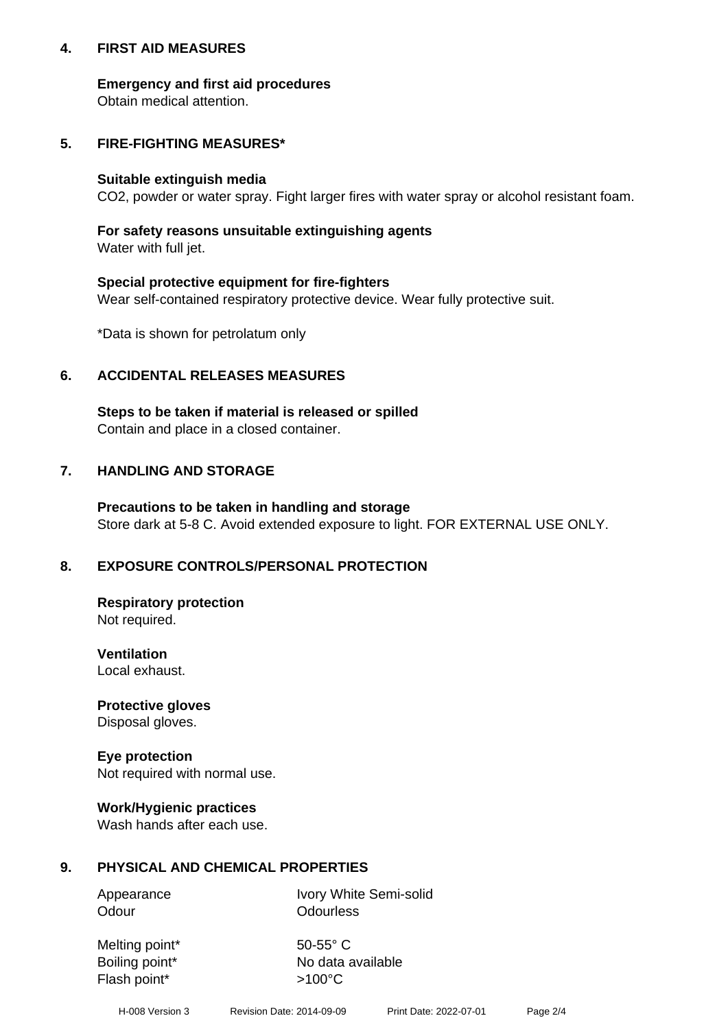## **4. FIRST AID MEASURES**

## **Emergency and first aid procedures**

Obtain medical attention.

# **5. FIRE-FIGHTING MEASURES\***

#### **Suitable extinguish media**

CO2, powder or water spray. Fight larger fires with water spray or alcohol resistant foam.

# **For safety reasons unsuitable extinguishing agents**

Water with full jet.

## **Special protective equipment for fire-fighters**

Wear self-contained respiratory protective device. Wear fully protective suit.

\*Data is shown for petrolatum only

## **6. ACCIDENTAL RELEASES MEASURES**

**Steps to be taken if material is released or spilled** Contain and place in a closed container.

# **7. HANDLING AND STORAGE**

**Precautions to be taken in handling and storage** Store dark at 5-8 C. Avoid extended exposure to light. FOR EXTERNAL USE ONLY.

# **8. EXPOSURE CONTROLS/PERSONAL PROTECTION**

**Respiratory protection** Not required.

**Ventilation** Local exhaust.

**Protective gloves** Disposal gloves.

#### **Eye protection** Not required with normal use.

## **Work/Hygienic practices**

Wash hands after each use.

## **9. PHYSICAL AND CHEMICAL PROPERTIES**

Odour **Odourless** 

Appearance Ivory White Semi-solid

Melting point\* 50-55° C Flash point\*  $>100^{\circ}$ C

Boiling point\* No data available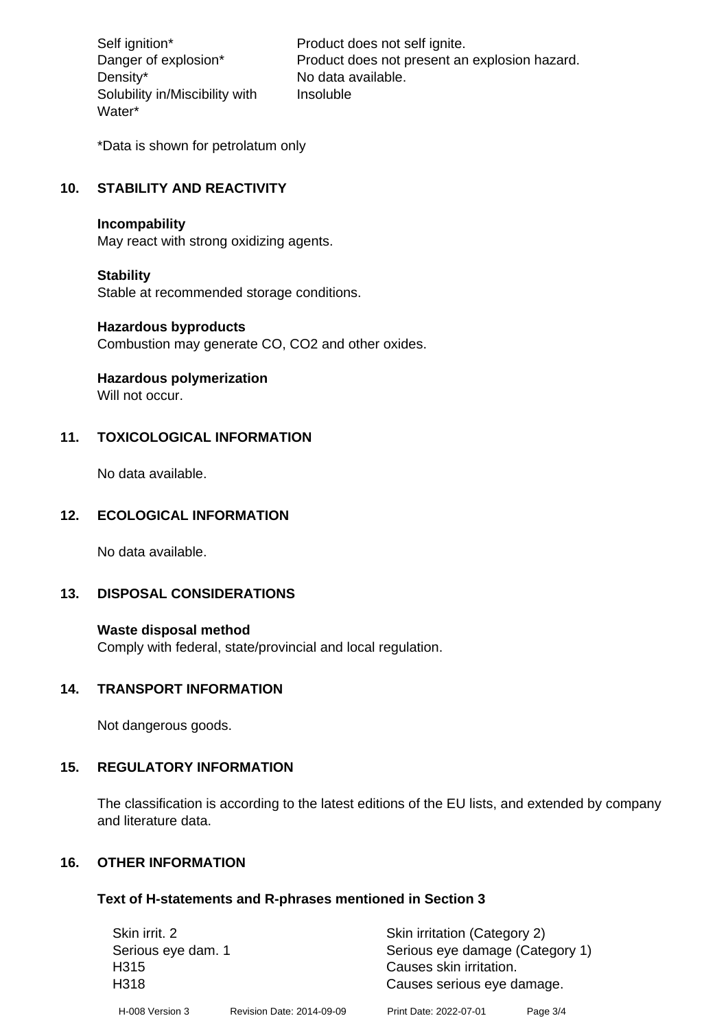Density\* No data available. Solubility in/Miscibility with Water\*

Self ignition\* Product does not self ignite. Danger of explosion\* Product does not present an explosion hazard. Insoluble

\*Data is shown for petrolatum only

# **10. STABILITY AND REACTIVITY**

#### **Incompability**

May react with strong oxidizing agents.

#### **Stability**

Stable at recommended storage conditions.

#### **Hazardous byproducts**

Combustion may generate CO, CO2 and other oxides.

**Hazardous polymerization**

Will not occur.

## **11. TOXICOLOGICAL INFORMATION**

No data available.

## **12. ECOLOGICAL INFORMATION**

No data available.

## **13. DISPOSAL CONSIDERATIONS**

#### **Waste disposal method**

Comply with federal, state/provincial and local regulation.

#### **14. TRANSPORT INFORMATION**

Not dangerous goods.

## **15. REGULATORY INFORMATION**

The classification is according to the latest editions of the EU lists, and extended by company and literature data.

## **16. OTHER INFORMATION**

#### **Text of H-statements and R-phrases mentioned in Section 3**

| Skin irrit. 2      |                           | Skin irritation (Category 2)    |          |
|--------------------|---------------------------|---------------------------------|----------|
| Serious eye dam. 1 |                           | Serious eye damage (Category 1) |          |
| H <sub>315</sub>   |                           | Causes skin irritation.         |          |
| H318               |                           | Causes serious eye damage.      |          |
| H-008 Version 3    | Revision Date: 2014-09-09 | Print Date: 2022-07-01          | Page 3/4 |